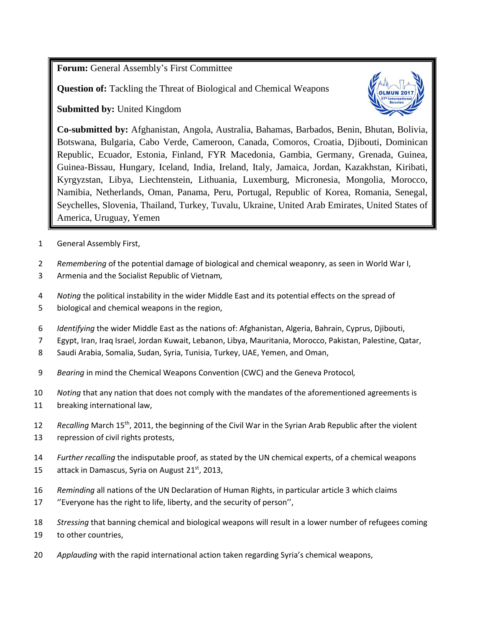**Forum:** General Assembly's First Committee

**Question of:** Tackling the Threat of Biological and Chemical Weapons

**Submitted by:** United Kingdom



**Co-submitted by:** Afghanistan, Angola, Australia, Bahamas, Barbados, Benin, Bhutan, Bolivia, Botswana, Bulgaria, Cabo Verde, Cameroon, Canada, Comoros, Croatia, Djibouti, Dominican Republic, Ecuador, Estonia, Finland, FYR Macedonia, Gambia, Germany, Grenada, Guinea, Guinea-Bissau, Hungary, Iceland, India, Ireland, Italy, Jamaica, Jordan, Kazakhstan, Kiribati, Kyrgyzstan, Libya, Liechtenstein, Lithuania, Luxemburg, Micronesia, Mongolia, Morocco, Namibia, Netherlands, Oman, Panama, Peru, Portugal, Republic of Korea, Romania, Senegal, Seychelles, Slovenia, Thailand, Turkey, Tuvalu, Ukraine, United Arab Emirates, United States of America, Uruguay, Yemen

- 1 General Assembly First,
- 2 *Remembering* of the potential damage of biological and chemical weaponry, as seen in World War I,
- 3 Armenia and the Socialist Republic of Vietnam*,*
- 4 *Noting* the political instability in the wider Middle East and its potential effects on the spread of
- 5 biological and chemical weapons in the region,
- 6 *Identifying* the wider Middle East as the nations of: Afghanistan, Algeria, Bahrain, Cyprus, Djibouti,
- 7 Egypt, Iran, Iraq Israel, Jordan Kuwait, Lebanon, Libya, Mauritania, Morocco, Pakistan, Palestine, Qatar,
- 8 Saudi Arabia, Somalia, Sudan, Syria, Tunisia, Turkey, UAE, Yemen, and Oman,
- 9 *Bearing* in mind the Chemical Weapons Convention (CWC) and the Geneva Protocol*,*
- 10 *Noting* that any nation that does not comply with the mandates of the aforementioned agreements is
- 11 breaking international law,
- 12 Recalling March 15<sup>th</sup>, 2011, the beginning of the Civil War in the Syrian Arab Republic after the violent
- 13 repression of civil rights protests,
- 14 *Further recalling* the indisputable proof, as stated by the UN chemical experts, of a chemical weapons 15 attack in Damascus, Syria on August  $21<sup>st</sup>$ , 2013,
- 16 *Reminding* all nations of the UN Declaration of Human Rights, in particular article 3 which claims
- 17 ''Everyone has the right to life, liberty, and the security of person'',
- 18 *Stressing* that banning chemical and biological weapons will result in a lower number of refugees coming 19 to other countries,
- 20 *Applauding* with the rapid international action taken regarding Syria's chemical weapons,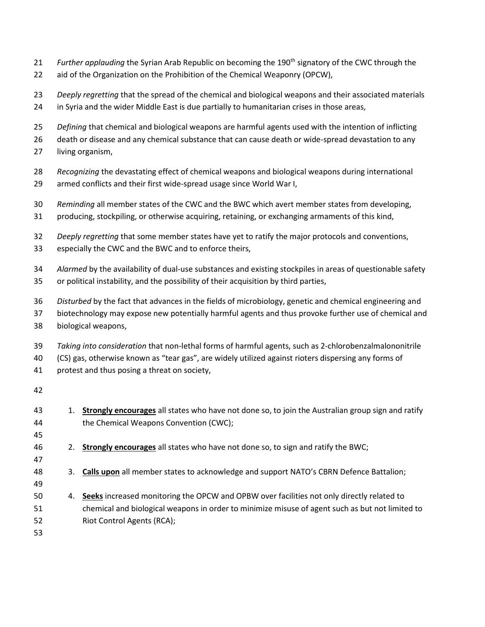- 21 *Further applauding* the Syrian Arab Republic on becoming the 190<sup>th</sup> signatory of the CWC through the
- aid of the Organization on the Prohibition of the Chemical Weaponry (OPCW),
- *Deeply regretting* that the spread of the chemical and biological weapons and their associated materials in Syria and the wider Middle East is due partially to humanitarian crises in those areas,
- *Defining* that chemical and biological weapons are harmful agents used with the intention of inflicting
- death or disease and any chemical substance that can cause death or wide-spread devastation to any
- living organism,
- *Recognizing* the devastating effect of chemical weapons and biological weapons during international armed conflicts and their first wide-spread usage since World War I,
- *Reminding* all member states of the CWC and the BWC which avert member states from developing,
- producing, stockpiling, or otherwise acquiring, retaining, or exchanging armaments of this kind,
- *Deeply regretting* that some member states have yet to ratify the major protocols and conventions,
- especially the CWC and the BWC and to enforce theirs,
- *Alarmed* by the availability of dual-use substances and existing stockpiles in areas of questionable safety
- or political instability, and the possibility of their acquisition by third parties,
- *Disturbed* by the fact that advances in the fields of microbiology, genetic and chemical engineering and
- biotechnology may expose new potentially harmful agents and thus provoke further use of chemical and biological weapons,
- *Taking into consideration* that non-lethal forms of harmful agents, such as 2-chlorobenzalmalononitrile
- (CS) gas, otherwise known as "tear gas", are widely utilized against rioters dispersing any forms of
- protest and thus posing a threat on society,
- 
- 1. **Strongly encourages** all states who have not done so, to join the Australian group sign and ratify the Chemical Weapons Convention (CWC); 2. **Strongly encourages** all states who have not done so, to sign and ratify the BWC;
- 
- 3. **Calls upon** all member states to acknowledge and support NATO's CBRN Defence Battalion;
- 
- 4. **Seeks** increased monitoring the OPCW and OPBW over facilities not only directly related to chemical and biological weapons in order to minimize misuse of agent such as but not limited to Riot Control Agents (RCA);
-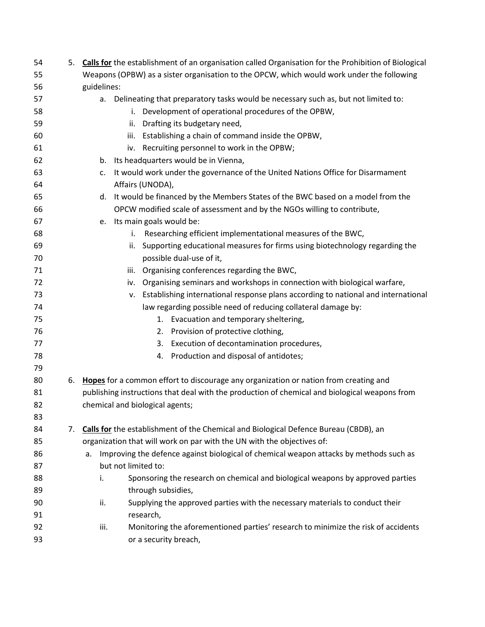| 54 |    | 5. Calls for the establishment of an organisation called Organisation for the Prohibition of Biological |
|----|----|---------------------------------------------------------------------------------------------------------|
| 55 |    | Weapons (OPBW) as a sister organisation to the OPCW, which would work under the following               |
| 56 |    | guidelines:                                                                                             |
| 57 |    | a. Delineating that preparatory tasks would be necessary such as, but not limited to:                   |
| 58 |    | Development of operational procedures of the OPBW,<br>i.                                                |
| 59 |    | Drafting its budgetary need,<br>ii.                                                                     |
| 60 |    | Establishing a chain of command inside the OPBW,<br>iii.                                                |
| 61 |    | iv. Recruiting personnel to work in the OPBW;                                                           |
| 62 |    | b. Its headquarters would be in Vienna,                                                                 |
| 63 |    | It would work under the governance of the United Nations Office for Disarmament<br>c.                   |
| 64 |    | Affairs (UNODA),                                                                                        |
| 65 |    | d. It would be financed by the Members States of the BWC based on a model from the                      |
| 66 |    | OPCW modified scale of assessment and by the NGOs willing to contribute,                                |
| 67 |    | e. Its main goals would be:                                                                             |
| 68 |    | Researching efficient implementational measures of the BWC,<br>i.                                       |
| 69 |    | Supporting educational measures for firms using biotechnology regarding the<br>ii.                      |
| 70 |    | possible dual-use of it,                                                                                |
| 71 |    | iii. Organising conferences regarding the BWC,                                                          |
| 72 |    | iv. Organising seminars and workshops in connection with biological warfare,                            |
| 73 |    | v. Establishing international response plans according to national and international                    |
| 74 |    | law regarding possible need of reducing collateral damage by:                                           |
| 75 |    | 1. Evacuation and temporary sheltering,                                                                 |
| 76 |    | Provision of protective clothing,<br>2.                                                                 |
| 77 |    | Execution of decontamination procedures,<br>3.                                                          |
| 78 |    | Production and disposal of antidotes;<br>4.                                                             |
| 79 |    |                                                                                                         |
| 80 |    | 6. Hopes for a common effort to discourage any organization or nation from creating and                 |
| 81 |    | publishing instructions that deal with the production of chemical and biological weapons from           |
| 82 |    | chemical and biological agents;                                                                         |
| 83 |    |                                                                                                         |
| 84 | 7. | Calls for the establishment of the Chemical and Biological Defence Bureau (CBDB), an                    |
| 85 |    | organization that will work on par with the UN with the objectives of:                                  |
| 86 |    | Improving the defence against biological of chemical weapon attacks by methods such as<br>a.            |
| 87 |    | but not limited to:                                                                                     |
| 88 |    | Sponsoring the research on chemical and biological weapons by approved parties<br>i.                    |
| 89 |    | through subsidies,                                                                                      |
| 90 |    | Supplying the approved parties with the necessary materials to conduct their<br>ii.                     |
| 91 |    | research,                                                                                               |
| 92 |    | Monitoring the aforementioned parties' research to minimize the risk of accidents<br>iii.               |
| 93 |    | or a security breach,                                                                                   |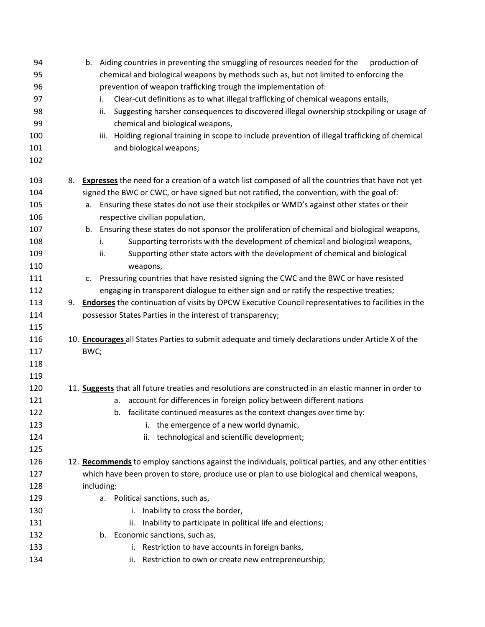| 94<br>95 | b. Aiding countries in preventing the smuggling of resources needed for the<br>production of<br>chemical and biological weapons by methods such as, but not limited to enforcing the |
|----------|--------------------------------------------------------------------------------------------------------------------------------------------------------------------------------------|
| 96       | prevention of weapon trafficking trough the implementation of:                                                                                                                       |
| 97       | Clear-cut definitions as to what illegal trafficking of chemical weapons entails,<br>i.                                                                                              |
| 98       | Suggesting harsher consequences to discovered illegal ownership stockpiling or usage of<br>ii.                                                                                       |
| 99       | chemical and biological weapons,                                                                                                                                                     |
| 100      | Holding regional training in scope to include prevention of illegal trafficking of chemical<br>iii.                                                                                  |
| 101      | and biological weapons;                                                                                                                                                              |
| 102      |                                                                                                                                                                                      |
| 103      | <b>Expresses</b> the need for a creation of a watch list composed of all the countries that have not yet<br>8.                                                                       |
| 104      | signed the BWC or CWC, or have signed but not ratified, the convention, with the goal of:                                                                                            |
| 105      | Ensuring these states do not use their stockpiles or WMD's against other states or their<br>а.                                                                                       |
| 106      | respective civilian population,                                                                                                                                                      |
| 107      | b. Ensuring these states do not sponsor the proliferation of chemical and biological weapons,                                                                                        |
| 108      | Supporting terrorists with the development of chemical and biological weapons,<br>i.                                                                                                 |
| 109      | Supporting other state actors with the development of chemical and biological<br>ii.                                                                                                 |
| 110      | weapons,                                                                                                                                                                             |
| 111      | Pressuring countries that have resisted signing the CWC and the BWC or have resisted<br>c.                                                                                           |
| 112      | engaging in transparent dialogue to either sign and or ratify the respective treaties;                                                                                               |
| 113      | <b>Endorses</b> the continuation of visits by OPCW Executive Council representatives to facilities in the<br>9.                                                                      |
| 114      | possessor States Parties in the interest of transparency;                                                                                                                            |
| 115      |                                                                                                                                                                                      |
| 116      | 10. Encourages all States Parties to submit adequate and timely declarations under Article X of the                                                                                  |
| 117      | BWC;                                                                                                                                                                                 |
| 118      |                                                                                                                                                                                      |
| 119      |                                                                                                                                                                                      |
| 120      | 11. Suggests that all future treaties and resolutions are constructed in an elastic manner in order to                                                                               |
| 121      | a. account for differences in foreign policy between different nations                                                                                                               |
| 122      | facilitate continued measures as the context changes over time by:                                                                                                                   |
| 123      | i. the emergence of a new world dynamic,                                                                                                                                             |
| 124      | ii. technological and scientific development;                                                                                                                                        |
| 125      |                                                                                                                                                                                      |
| 126      | 12. Recommends to employ sanctions against the individuals, political parties, and any other entities                                                                                |
| 127      | which have been proven to store, produce use or plan to use biological and chemical weapons,                                                                                         |
| 128      | including:                                                                                                                                                                           |
| 129      | a. Political sanctions, such as,                                                                                                                                                     |
| 130      | i. Inability to cross the border,                                                                                                                                                    |
| 131      | ii. Inability to participate in political life and elections;                                                                                                                        |
| 132      | b. Economic sanctions, such as,                                                                                                                                                      |
| 133      | i. Restriction to have accounts in foreign banks,                                                                                                                                    |
| 134      | ii. Restriction to own or create new entrepreneurship;                                                                                                                               |